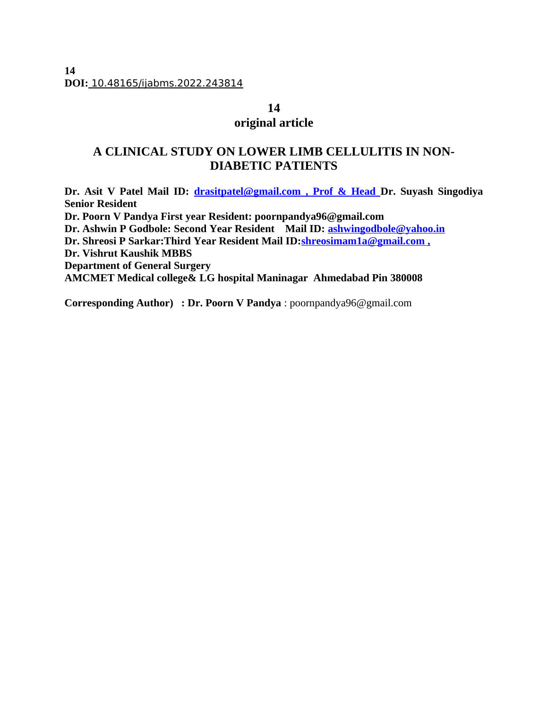**14 DOI:** 10.48165/ijabms.2022.243814

### **14**

# **original article**

# **A CLINICAL STUDY ON LOWER LIMB CELLULITIS IN NON-DIABETIC PATIENTS**

**Dr. Asit V Patel Mail ID: [drasitpatel@gmail.com](mailto:drasitpatel@gmail.com) , Prof & Head Dr. Suyash Singodiya Senior Resident Dr. Poorn V Pandya First year Resident: poornpandya96@gmail.com Dr. Ashwin P Godbole: Second Year Resident Mail ID: [ashwingodbole@yahoo.in](mailto:ashwingodbole@yahoo.in) Dr. Shreosi P Sarkar:Third Year Resident Mail ID[: shreosimam1a@gmail.com](mailto:shreosimam1a@gmail.com) , Dr. Vishrut Kaushik MBBS Department of General Surgery AMCMET Medical college& LG hospital Maninagar Ahmedabad Pin 380008**

**Corresponding Author) : Dr. Poorn V Pandya** : poornpandya96@gmail.com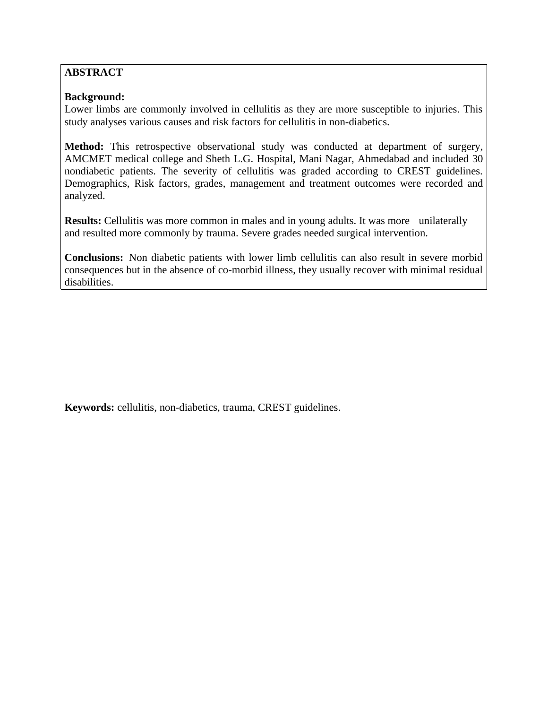# **ABSTRACT**

### **Background:**

Lower limbs are commonly involved in cellulitis as they are more susceptible to injuries. This study analyses various causes and risk factors for cellulitis in non-diabetics.

**Method:** This retrospective observational study was conducted at department of surgery, AMCMET medical college and Sheth L.G. Hospital, Mani Nagar, Ahmedabad and included 30 nondiabetic patients. The severity of cellulitis was graded according to CREST guidelines. Demographics, Risk factors, grades, management and treatment outcomes were recorded and analyzed.

**Results:** Cellulitis was more common in males and in young adults. It was more unilaterally and resulted more commonly by trauma. Severe grades needed surgical intervention.

**Conclusions:** Non diabetic patients with lower limb cellulitis can also result in severe morbid consequences but in the absence of co-morbid illness, they usually recover with minimal residual disabilities.

**Keywords:** cellulitis, non-diabetics, trauma, CREST guidelines.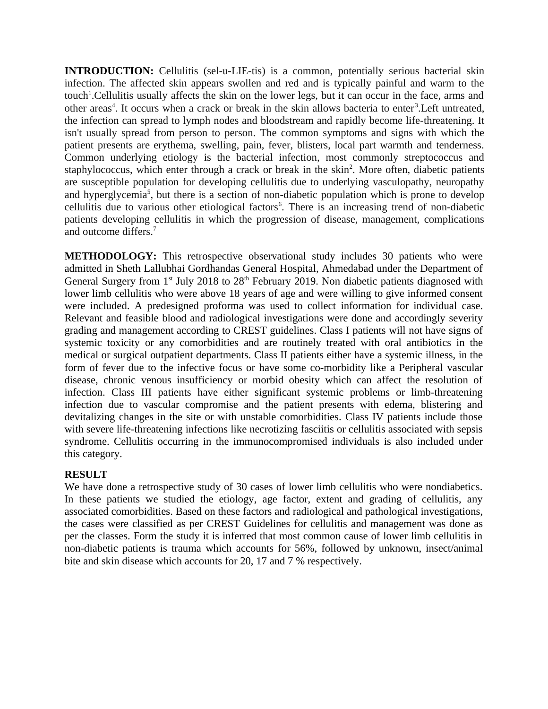**INTRODUCTION:** Cellulitis (sel-u-LIE-tis) is a common, potentially serious bacterial skin infection. The affected skin appears swollen and red and is typically painful and warm to the touch<sup>1</sup>. Cellulitis usually affects the skin on the lower legs, but it can occur in the face, arms and other areas<sup>4</sup>. It occurs when a crack or break in the skin allows bacteria to enter<sup>3</sup>. Left untreated, the infection can spread to lymph nodes and bloodstream and rapidly become life-threatening. It isn't usually spread from person to person. The common symptoms and signs with which the patient presents are erythema, swelling, pain, fever, blisters, local part warmth and tenderness. Common underlying etiology is the bacterial infection, most commonly streptococcus and staphylococcus, which enter through a crack or break in the skin<sup>2</sup>. More often, diabetic patients are susceptible population for developing cellulitis due to underlying vasculopathy, neuropathy and hyperglycemia<sup>5</sup>, but there is a section of non-diabetic population which is prone to develop cellulitis due to various other etiological factors<sup>6</sup>. There is an increasing trend of non-diabetic patients developing cellulitis in which the progression of disease, management, complications and outcome differs.<sup>7</sup>

**METHODOLOGY:** This retrospective observational study includes 30 patients who were admitted in Sheth Lallubhai Gordhandas General Hospital, Ahmedabad under the Department of General Surgery from  $1<sup>st</sup>$  July 2018 to  $28<sup>th</sup>$  February 2019. Non diabetic patients diagnosed with lower limb cellulitis who were above 18 years of age and were willing to give informed consent were included. A predesigned proforma was used to collect information for individual case. Relevant and feasible blood and radiological investigations were done and accordingly severity grading and management according to CREST guidelines. Class I patients will not have signs of systemic toxicity or any comorbidities and are routinely treated with oral antibiotics in the medical or surgical outpatient departments. Class II patients either have a systemic illness, in the form of fever due to the infective focus or have some co-morbidity like a Peripheral vascular disease, chronic venous insufficiency or morbid obesity which can affect the resolution of infection. Class III patients have either significant systemic problems or limb-threatening infection due to vascular compromise and the patient presents with edema, blistering and devitalizing changes in the site or with unstable comorbidities. Class IV patients include those with severe life-threatening infections like necrotizing fasciitis or cellulitis associated with sepsis syndrome. Cellulitis occurring in the immunocompromised individuals is also included under this category.

### **RESULT**

We have done a retrospective study of 30 cases of lower limb cellulitis who were nondiabetics. In these patients we studied the etiology, age factor, extent and grading of cellulitis, any associated comorbidities. Based on these factors and radiological and pathological investigations, the cases were classified as per CREST Guidelines for cellulitis and management was done as per the classes. Form the study it is inferred that most common cause of lower limb cellulitis in non-diabetic patients is trauma which accounts for 56%, followed by unknown, insect/animal bite and skin disease which accounts for 20, 17 and 7 % respectively.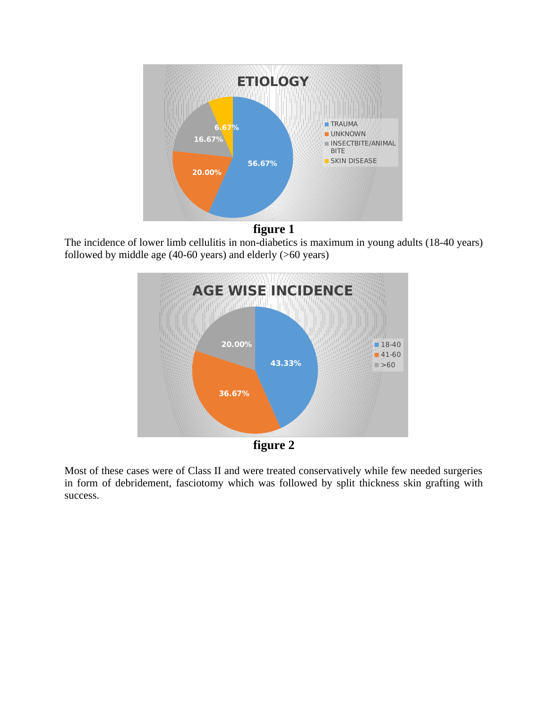



The incidence of lower limb cellulitis in non-diabetics is maximum in young adults (18-40 years) followed by middle age (40-60 years) and elderly (>60 years)



**figure 2**

Most of these cases were of Class II and were treated conservatively while few needed surgeries in form of debridement, fasciotomy which was followed by split thickness skin grafting with success.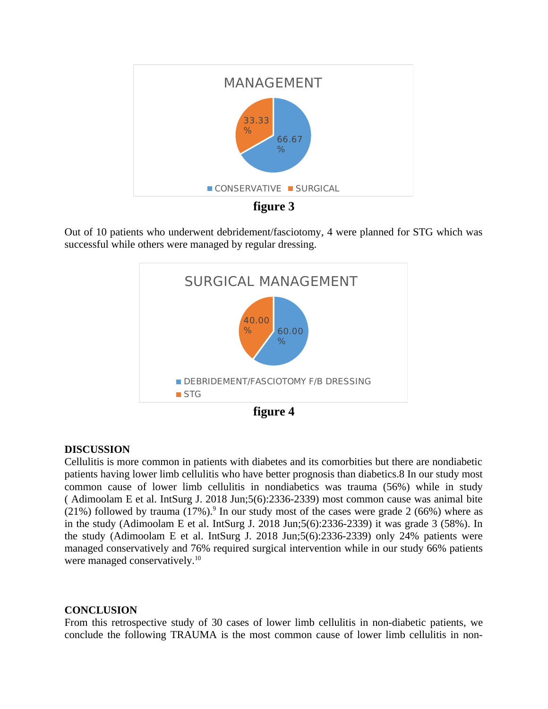

**figure 3**

Out of 10 patients who underwent debridement/fasciotomy, 4 were planned for STG which was successful while others were managed by regular dressing.



**figure 4**

## **DISCUSSION**

Cellulitis is more common in patients with diabetes and its comorbities but there are nondiabetic patients having lower limb cellulitis who have better prognosis than diabetics.8 In our study most common cause of lower limb cellulitis in nondiabetics was trauma (56%) while in study ( Adimoolam E et al. IntSurg J. 2018 Jun;5(6):2336-2339) most common cause was animal bite (21%) followed by trauma (17%). $9$  In our study most of the cases were grade 2 (66%) where as in the study (Adimoolam E et al. IntSurg J. 2018 Jun;5(6):2336-2339) it was grade 3 (58%). In the study (Adimoolam E et al. IntSurg J. 2018 Jun;5(6):2336-2339) only 24% patients were managed conservatively and 76% required surgical intervention while in our study 66% patients were managed conservatively.<sup>10</sup>

## **CONCLUSION**

From this retrospective study of 30 cases of lower limb cellulitis in non-diabetic patients, we conclude the following TRAUMA is the most common cause of lower limb cellulitis in non